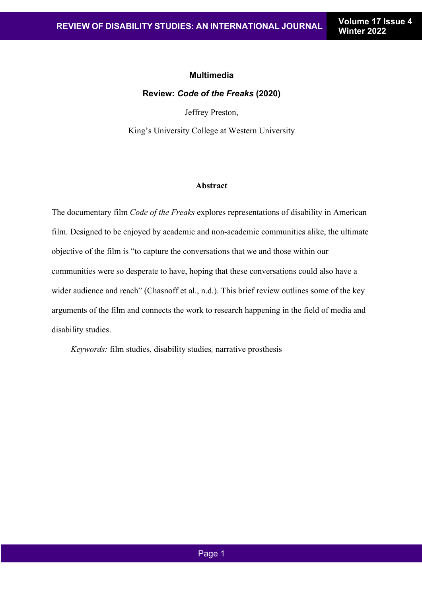## **Multimedia**

## **Review:** *Code of the Freaks* **(2020)**

Jeffrey Preston,

King's University College at Western University

## **Abstract**

The documentary film *Code of the Freaks* explores representations of disability in American film. Designed to be enjoyed by academic and non-academic communities alike, the ultimate objective of the film is "to capture the conversations that we and those within our communities were so desperate to have, hoping that these conversations could also have a wider audience and reach" (Chasnoff et al., n.d.). This brief review outlines some of the key arguments of the film and connects the work to research happening in the field of media and disability studies.

 *Keywords:* film studies*,* disability studies*,* narrative prosthesis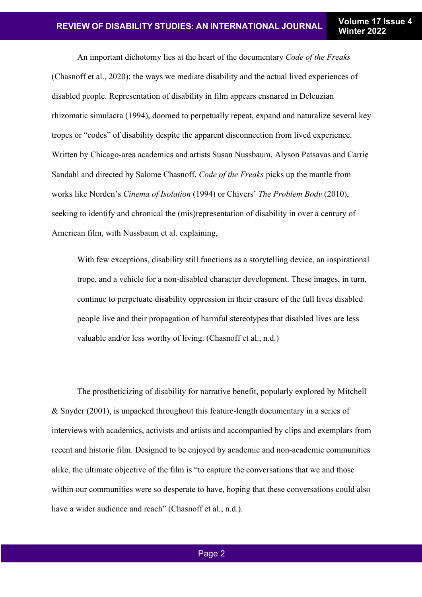An important dichotomy lies at the heart of the documentary *Code of the Freaks* (Chasnoff et al., 2020): the ways we mediate disability and the actual lived experiences of disabled people. Representation of disability in film appears ensnared in Deleuzian rhizomatic simulacra (1994), doomed to perpetually repeat, expand and naturalize several key tropes or "codes" of disability despite the apparent disconnection from lived experience. Written by Chicago-area academics and artists Susan Nussbaum, Alyson Patsavas and Carrie Sandahl and directed by Salome Chasnoff, *Code of the Freaks* picks up the mantle from works like Norden's *Cinema of Isolation* (1994) or Chivers' *The Problem Body* (2010), seeking to identify and chronical the (mis)representation of disability in over a century of American film, with Nussbaum et al. explaining,

With few exceptions, disability still functions as a storytelling device, an inspirational trope, and a vehicle for a non-disabled character development. These images, in turn, continue to perpetuate disability oppression in their erasure of the full lives disabled people live and their propagation of harmful stereotypes that disabled lives are less valuable and/or less worthy of living. (Chasnoff et al., n.d.)

The prostheticizing of disability for narrative benefit, popularly explored by Mitchell & Snyder (2001), is unpacked throughout this feature-length documentary in a series of interviews with academics, activists and artists and accompanied by clips and exemplars from recent and historic film. Designed to be enjoyed by academic and non-academic communities alike, the ultimate objective of the film is "to capture the conversations that we and those within our communities were so desperate to have, hoping that these conversations could also have a wider audience and reach" (Chasnoff et al., n.d.).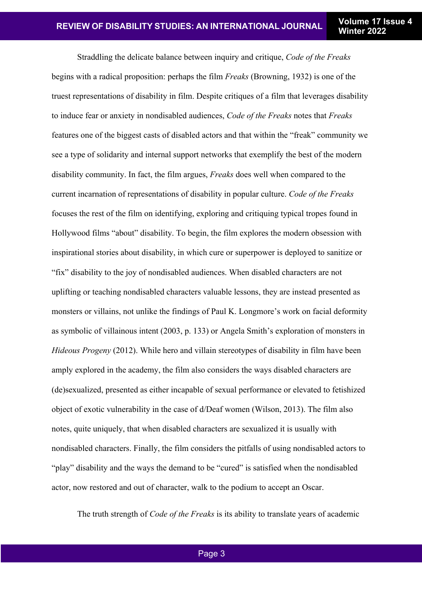Straddling the delicate balance between inquiry and critique, *Code of the Freaks* begins with a radical proposition: perhaps the film *Freaks* (Browning, 1932) is one of the truest representations of disability in film. Despite critiques of a film that leverages disability to induce fear or anxiety in nondisabled audiences, *Code of the Freaks* notes that *Freaks* features one of the biggest casts of disabled actors and that within the "freak" community we see a type of solidarity and internal support networks that exemplify the best of the modern disability community. In fact, the film argues, *Freaks* does well when compared to the current incarnation of representations of disability in popular culture. *Code of the Freaks* focuses the rest of the film on identifying, exploring and critiquing typical tropes found in Hollywood films "about" disability. To begin, the film explores the modern obsession with inspirational stories about disability, in which cure or superpower is deployed to sanitize or "fix" disability to the joy of nondisabled audiences. When disabled characters are not uplifting or teaching nondisabled characters valuable lessons, they are instead presented as monsters or villains, not unlike the findings of Paul K. Longmore's work on facial deformity as symbolic of villainous intent (2003, p. 133) or Angela Smith's exploration of monsters in *Hideous Progeny* (2012). While hero and villain stereotypes of disability in film have been amply explored in the academy, the film also considers the ways disabled characters are (de)sexualized, presented as either incapable of sexual performance or elevated to fetishized object of exotic vulnerability in the case of d/Deaf women (Wilson, 2013). The film also notes, quite uniquely, that when disabled characters are sexualized it is usually with nondisabled characters. Finally, the film considers the pitfalls of using nondisabled actors to "play" disability and the ways the demand to be "cured" is satisfied when the nondisabled actor, now restored and out of character, walk to the podium to accept an Oscar.

The truth strength of *Code of the Freaks* is its ability to translate years of academic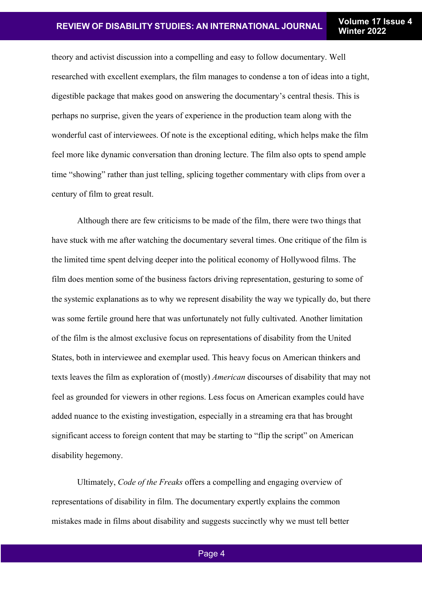theory and activist discussion into a compelling and easy to follow documentary. Well researched with excellent exemplars, the film manages to condense a ton of ideas into a tight, digestible package that makes good on answering the documentary's central thesis. This is perhaps no surprise, given the years of experience in the production team along with the wonderful cast of interviewees. Of note is the exceptional editing, which helps make the film feel more like dynamic conversation than droning lecture. The film also opts to spend ample time "showing" rather than just telling, splicing together commentary with clips from over a century of film to great result.

Although there are few criticisms to be made of the film, there were two things that have stuck with me after watching the documentary several times. One critique of the film is the limited time spent delving deeper into the political economy of Hollywood films. The film does mention some of the business factors driving representation, gesturing to some of the systemic explanations as to why we represent disability the way we typically do, but there was some fertile ground here that was unfortunately not fully cultivated. Another limitation of the film is the almost exclusive focus on representations of disability from the United States, both in interviewee and exemplar used. This heavy focus on American thinkers and texts leaves the film as exploration of (mostly) *American* discourses of disability that may not feel as grounded for viewers in other regions. Less focus on American examples could have added nuance to the existing investigation, especially in a streaming era that has brought significant access to foreign content that may be starting to "flip the script" on American disability hegemony.

Ultimately, *Code of the Freaks* offers a compelling and engaging overview of representations of disability in film. The documentary expertly explains the common mistakes made in films about disability and suggests succinctly why we must tell better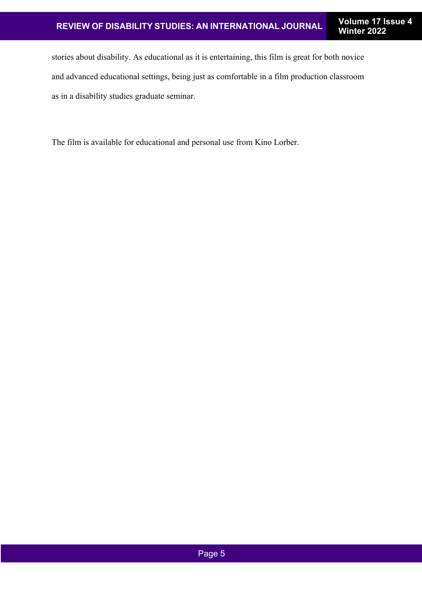stories about disability. As educational as it is entertaining, this film is great for both novice and advanced educational settings, being just as comfortable in a film production classroom as in a disability studies graduate seminar.

The film is available for educational and personal use from Kino Lorber.